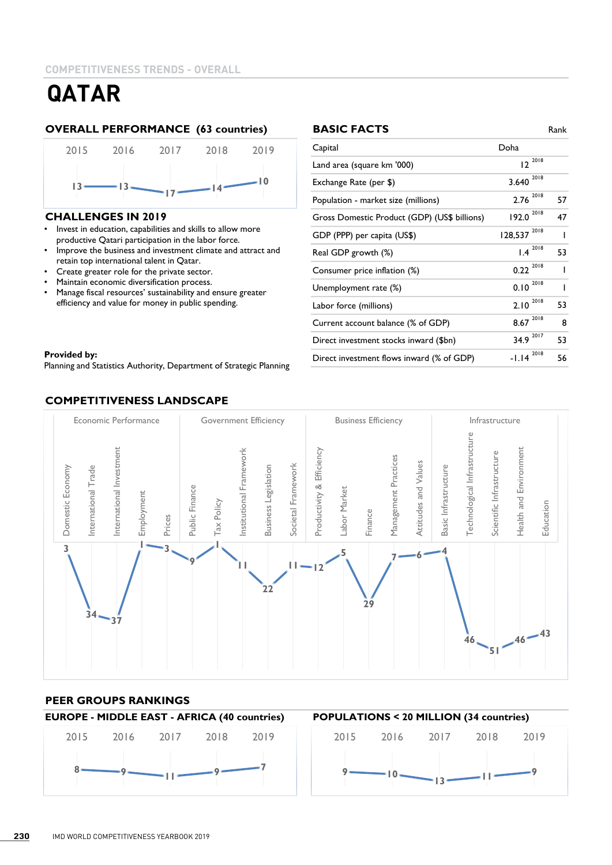#### **OVERALL PERFORMANCE (63 countries)**



#### **CHALLENGES IN 2019**

- Invest in education, capabilities and skills to allow more productive Qatari participation in the labor force.
- Improve the business and investment climate and attract and retain top international talent in Qatar.
- Create greater role for the private sector.
- Maintain economic diversification process.
- Manage fiscal resources' sustainability and ensure greater efficiency and value for money in public spending.

#### Provided by: Equipment of Statistics Authority, Department of Strategic Planning of Strategic Planning of Strategic Planning of Strategic Planning of Strategic Planning of Strategic Planning of Strategic Planning of Strate **Provided by:**

Planning and Statistics Authority, Department of Strategic Planning

#### **COMPETITIVENESS LANDSCAPE**

| <b>BASIC FACTS</b>                           |                   | Rank |
|----------------------------------------------|-------------------|------|
| Capital                                      | Doha              |      |
| Land area (square km '000)                   | 2018<br>12        |      |
| Exchange Rate (per \$)                       | 2018<br>3.640     |      |
| Population - market size (millions)          | 2018<br>2.76      | 57   |
| Gross Domestic Product (GDP) (US\$ billions) | 2018<br>192.0     | 47   |
| GDP (PPP) per capita (US\$)                  | 2018<br>128,537   |      |
| Real GDP growth (%)                          | $1.4 \space 2018$ | 53   |
| Consumer price inflation (%)                 | 2018<br>0.22      |      |
| Unemployment rate (%)                        | 2018<br>0.10      |      |
| Labor force (millions)                       | 2018<br>2.10      | 53   |
| Current account balance (% of GDP)           | 2018<br>8.67      | 8    |
| Direct investment stocks inward (\$bn)       | 2017<br>34.9      | 53   |
| Direct investment flows inward (% of GDP)    | 2018<br>$-1.14$   | 56   |



### **PEER GROUPS RANKINGS**

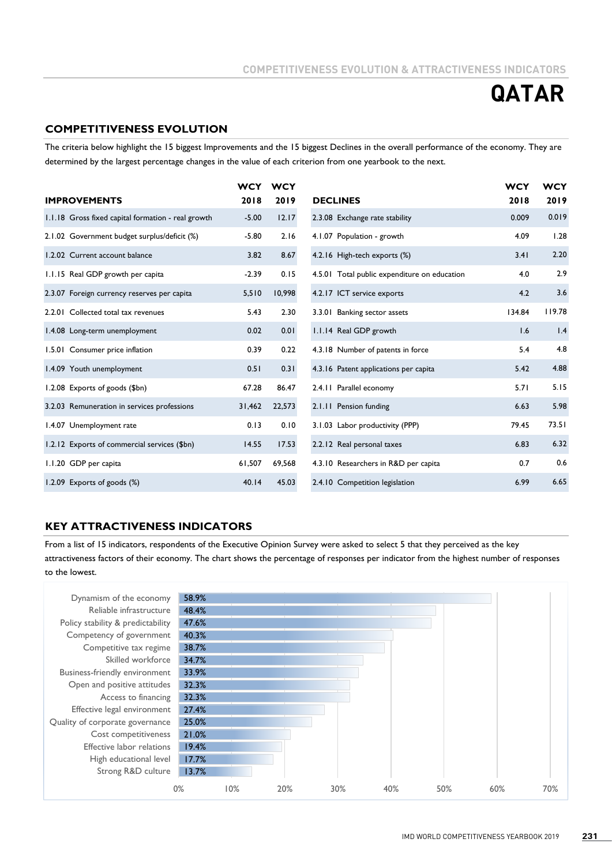#### **COMPETITIVENESS EVOLUTION**

The criteria below highlight the 15 biggest Improvements and the 15 biggest Declines in the overall performance of the economy. They are determined by the largest percentage changes in the value of each criterion from one yearbook to the next.

|                                                    | <b>WCY</b> | <b>WCY</b> |                                              | <b>WCY</b> | <b>WCY</b> |
|----------------------------------------------------|------------|------------|----------------------------------------------|------------|------------|
| <b>IMPROVEMENTS</b>                                | 2018       | 2019       | <b>DECLINES</b>                              | 2018       | 2019       |
| 1.1.18 Gross fixed capital formation - real growth | $-5.00$    | 12.17      | 2.3.08 Exchange rate stability               | 0.009      | 0.019      |
| 2.1.02 Government budget surplus/deficit (%)       | $-5.80$    | 2.16       | 4.1.07 Population - growth                   | 4.09       | 1.28       |
| 1.2.02 Current account balance                     | 3.82       | 8.67       | 4.2.16 High-tech exports (%)                 | 3.41       | 2.20       |
| 1.1.15 Real GDP growth per capita                  | $-2.39$    | 0.15       | 4.5.01 Total public expenditure on education | 4.0        | 2.9        |
| 2.3.07 Foreign currency reserves per capita        | 5,510      | 10,998     | 4.2.17 ICT service exports                   | 4.2        | 3.6        |
| 2.2.01 Collected total tax revenues                | 5.43       | 2.30       | 3.3.01 Banking sector assets                 | 134.84     | 119.78     |
| 1.4.08 Long-term unemployment                      | 0.02       | 0.01       | 1.1.14 Real GDP growth                       | 1.6        | 1.4        |
| 1.5.01 Consumer price inflation                    | 0.39       | 0.22       | 4.3.18 Number of patents in force            | 5.4        | 4.8        |
| 1.4.09 Youth unemployment                          | 0.51       | 0.31       | 4.3.16 Patent applications per capita        | 5.42       | 4.88       |
| 1.2.08 Exports of goods (\$bn)                     | 67.28      | 86.47      | 2.4.11 Parallel economy                      | 5.71       | 5.15       |
| 3.2.03 Remuneration in services professions        | 31,462     | 22,573     | 2.1.11 Pension funding                       | 6.63       | 5.98       |
| 1.4.07 Unemployment rate                           | 0.13       | 0.10       | 3.1.03 Labor productivity (PPP)              | 79.45      | 73.51      |
| 1.2.12 Exports of commercial services (\$bn)       | 14.55      | 17.53      | 2.2.12 Real personal taxes                   | 6.83       | 6.32       |
| 1.1.20 GDP per capita                              | 61,507     | 69,568     | 4.3.10 Researchers in R&D per capita         | 0.7        | 0.6        |
| 1.2.09 Exports of goods (%)                        | 40.14      | 45.03      | 2.4.10 Competition legislation               | 6.99       | 6.65       |

#### **KEY ATTRACTIVENESS INDICATORS**

From a list of 15 indicators, respondents of the Executive Opinion Survey were asked to select 5 that they perceived as the key attractiveness factors of their economy. The chart shows the percentage of responses per indicator from the highest number of responses to the lowest.

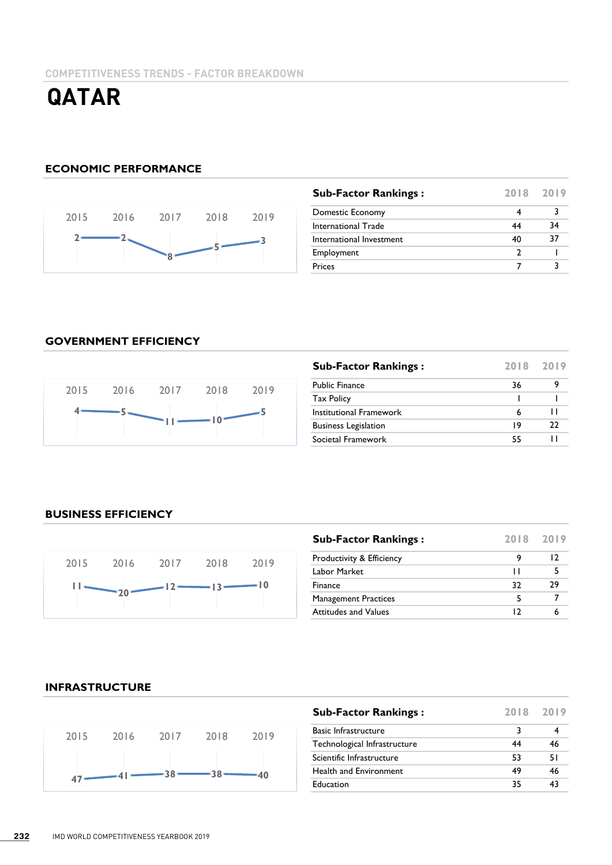#### **ECONOMIC PERFORMANCE**



| <b>Sub-Factor Rankings:</b> | 2018 2019 |    |
|-----------------------------|-----------|----|
| Domestic Economy            |           |    |
| International Trade         | 44        | 34 |
| International Investment    | 40        | 37 |
| Employment                  |           |    |
| <b>Prices</b>               |           |    |

#### **GOVERNMENT EFFICIENCY**



| <b>Sub-Factor Rankings:</b> | 2018 2019 |    |
|-----------------------------|-----------|----|
| <b>Public Finance</b>       | 36        |    |
| <b>Tax Policy</b>           |           |    |
| Institutional Framework     | 6         | ш  |
| <b>Business Legislation</b> | 19        | フフ |
| Societal Framework          | 55        |    |

### **BUSINESS EFFICIENCY**



| <b>Sub-Factor Rankings:</b> |     | 2018 2019 |
|-----------------------------|-----|-----------|
| Productivity & Efficiency   |     | 12        |
| Labor Market                | п   |           |
| Finance                     | 32  | 79        |
| <b>Management Practices</b> | 5   |           |
| <b>Attitudes and Values</b> | ר ו |           |

#### **INFRASTRUCTURE**



| <b>Sub-Factor Rankings:</b>  | 2018 2019 |    |
|------------------------------|-----------|----|
| <b>Basic Infrastructure</b>  | 3         |    |
| Technological Infrastructure | 44        | 46 |
| Scientific Infrastructure    | 53        | 51 |
| Health and Environment       | 49        | 46 |
| Education                    | 35        | 43 |